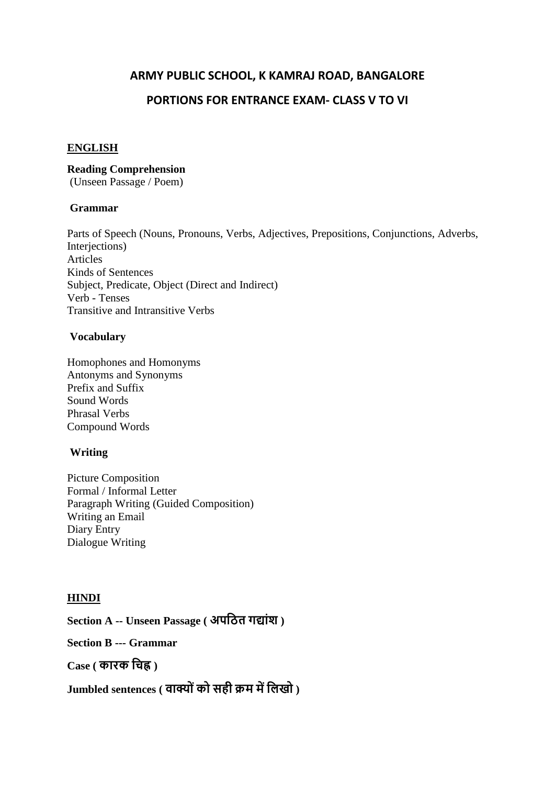## **ARMY PUBLIC SCHOOL, K KAMRAJ ROAD, BANGALORE**

## **PORTIONS FOR ENTRANCE EXAM- CLASS V TO VI**

#### **ENGLISH**

#### **Reading Comprehension**

(Unseen Passage / Poem)

#### **Grammar**

Parts of Speech (Nouns, Pronouns, Verbs, Adjectives, Prepositions, Conjunctions, Adverbs, Interjections) Articles Kinds of Sentences Subject, Predicate, Object (Direct and Indirect) Verb - Tenses Transitive and Intransitive Verbs

## **Vocabulary**

Homophones and Homonyms Antonyms and Synonyms Prefix and Suffix Sound Words Phrasal Verbs Compound Words

## **Writing**

Picture Composition Formal / Informal Letter Paragraph Writing (Guided Composition) Writing an Email Diary Entry Dialogue Writing

## **HINDI**

**Section A -- Unseen Passage ( अपठित गद्यांश )**

**Section B --- Grammar**

**Case ( कयरक ठिह्न )**

**Jumbled sentences ( वयक्य ांकय सही क्रम मेंठिखय )**